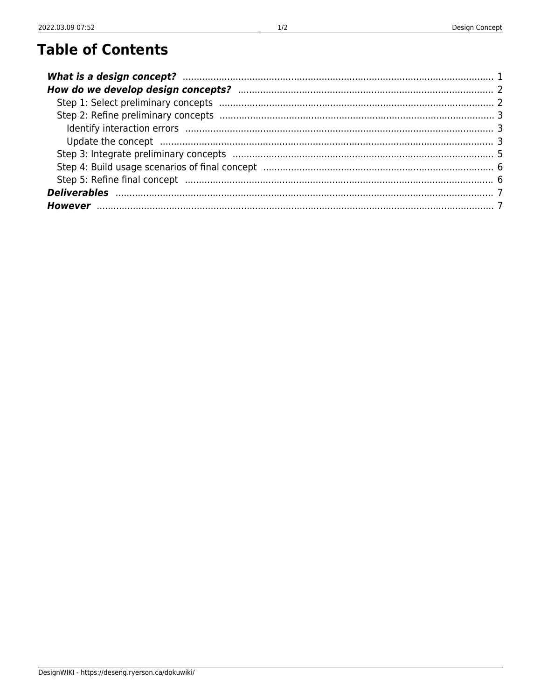## **Table of Contents**

| Update the concept manufactured and concept manufactured and contained and concept manufactured and concept and concept and concept and concept and concept and concept and concept and concept and concept and concept and co |  |
|--------------------------------------------------------------------------------------------------------------------------------------------------------------------------------------------------------------------------------|--|
|                                                                                                                                                                                                                                |  |
|                                                                                                                                                                                                                                |  |
|                                                                                                                                                                                                                                |  |
|                                                                                                                                                                                                                                |  |
|                                                                                                                                                                                                                                |  |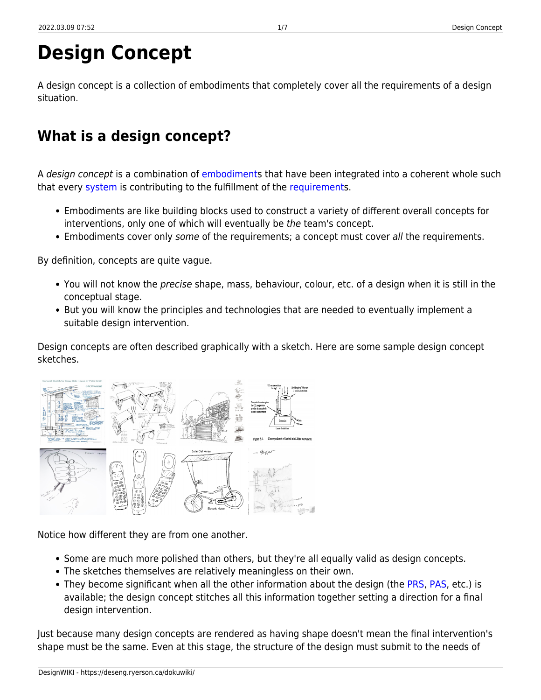# **Design Concept**

A design concept is a collection of embodiments that completely cover all the requirements of a design situation.

## <span id="page-2-0"></span>**What is a design concept?**

A design concept is a combination of [embodiments](https://deseng.ryerson.ca/dokuwiki/design:embodiment) that have been integrated into a coherent whole such that every [system](https://deseng.ryerson.ca/dokuwiki/design:system) is contributing to the fulfillment of the [requirements](https://deseng.ryerson.ca/dokuwiki/design:requirement).

- Embodiments are like building blocks used to construct a variety of different overall concepts for interventions, only one of which will eventually be the team's concept.
- Embodiments cover only some of the requirements; a concept must cover all the requirements.

By definition, concepts are quite vague.

- You will not know the precise shape, mass, behaviour, colour, etc. of a design when it is still in the conceptual stage.
- But you will know the principles and technologies that are needed to eventually implement a suitable design intervention.

Design concepts are often described graphically with a sketch. Here are some sample design concept sketches.

Notice how different they are from one another.

- Some are much more polished than others, but they're all equally valid as design concepts.
- The sketches themselves are relatively meaningless on their own.
- They become significant when all the other information about the design (the [PRS](https://deseng.ryerson.ca/dokuwiki/design:prs), [PAS,](https://deseng.ryerson.ca/dokuwiki/design:pas) etc.) is available; the design concept stitches all this information together setting a direction for a final design intervention.

Just because many design concepts are rendered as having shape doesn't mean the final intervention's shape must be the same. Even at this stage, the structure of the design must submit to the needs of

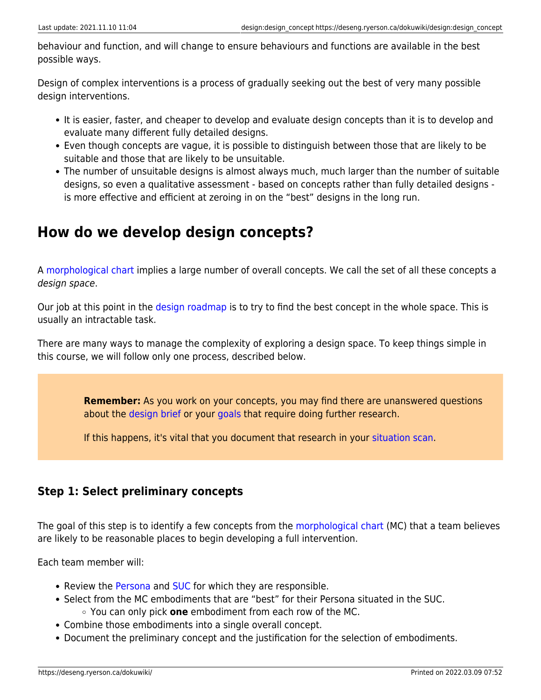behaviour and function, and will change to ensure behaviours and functions are available in the best possible ways.

Design of complex interventions is a process of gradually seeking out the best of very many possible design interventions.

- It is easier, faster, and cheaper to develop and evaluate design concepts than it is to develop and evaluate many different fully detailed designs.
- Even though concepts are vague, it is possible to distinguish between those that are likely to be suitable and those that are likely to be unsuitable.
- The number of unsuitable designs is almost always much, much larger than the number of suitable designs, so even a qualitative assessment - based on concepts rather than fully detailed designs is more effective and efficient at zeroing in on the "best" designs in the long run.

## <span id="page-3-0"></span>**How do we develop design concepts?**

A [morphological chart](https://deseng.ryerson.ca/dokuwiki/design:morphological_chart) implies a large number of overall concepts. We call the set of all these concepts a design space.

Our job at this point in the [design roadmap](https://deseng.ryerson.ca/dokuwiki/design:design_roadmap) is to try to find the best concept in the whole space. This is usually an intractable task.

There are many ways to manage the complexity of exploring a design space. To keep things simple in this course, we will follow only one process, described below.

> **Remember:** As you work on your concepts, you may find there are unanswered questions about the [design brief](https://deseng.ryerson.ca/dokuwiki/design:design_brief) or your [goals](https://deseng.ryerson.ca/dokuwiki/design:situation_scan#goals) that require doing further research.

If this happens, it's vital that you document that research in your [situation scan.](https://deseng.ryerson.ca/dokuwiki/design:situation_scan)

### <span id="page-3-3"></span><span id="page-3-1"></span>**Step 1: Select preliminary concepts**

The goal of this step is to identify a few concepts from the [morphological chart](https://deseng.ryerson.ca/dokuwiki/design:morphological_chart) (MC) that a team believes are likely to be reasonable places to begin developing a full intervention.

Each team member will:

- Review the [Persona](https://deseng.ryerson.ca/dokuwiki/design:persona) and [SUC](https://deseng.ryerson.ca/dokuwiki/design:suc) for which they are responsible.
- Select from the MC embodiments that are "best" for their Persona situated in the SUC. You can only pick **one** embodiment from each row of the MC.
- Combine those embodiments into a single overall concept.
- <span id="page-3-2"></span>Document the preliminary concept and the justification for the selection of embodiments.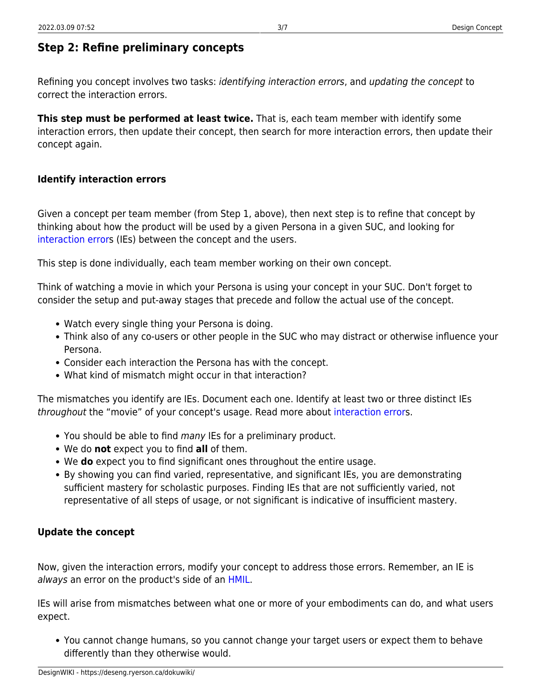## <span id="page-4-0"></span>**Step 2: Refine preliminary concepts**

Refining you concept involves two tasks: identifying interaction errors, and updating the concept to correct the interaction errors.

**This step must be performed at least twice.** That is, each team member with identify some interaction errors, then update their concept, then search for more interaction errors, then update their concept again.

#### <span id="page-4-1"></span>**Identify interaction errors**

Given a concept per team member (from Step 1, above), then next step is to refine that concept by thinking about how the product will be used by a given Persona in a given SUC, and looking for [interaction errors](https://deseng.ryerson.ca/dokuwiki/design:interaction_error) (IEs) between the concept and the users.

This step is done individually, each team member working on their own concept.

Think of watching a movie in which your Persona is using your concept in your SUC. Don't forget to consider the setup and put-away stages that precede and follow the actual use of the concept.

- Watch every single thing your Persona is doing.
- Think also of any co-users or other people in the SUC who may distract or otherwise influence your Persona.
- Consider each interaction the Persona has with the concept.
- What kind of mismatch might occur in that interaction?

The mismatches you identify are IEs. Document each one. Identify at least two or three distinct IEs throughout the "movie" of your concept's usage. Read more about [interaction error](https://deseng.ryerson.ca/dokuwiki/design:interaction_error)s.

- You should be able to find many IEs for a preliminary product.
- We do **not** expect you to find **all** of them.
- We **do** expect you to find significant ones throughout the entire usage.
- By showing you can find varied, representative, and significant IEs, you are demonstrating sufficient mastery for scholastic purposes. Finding IEs that are not sufficiently varied, not representative of all steps of usage, or not significant is indicative of insufficient mastery.

#### <span id="page-4-2"></span>**Update the concept**

Now, given the interaction errors, modify your concept to address those errors. Remember, an IE is always an error on the product's side of an [HMIL.](https://deseng.ryerson.ca/dokuwiki/design:hmil)

IEs will arise from mismatches between what one or more of your embodiments can do, and what users expect.

You cannot change humans, so you cannot change your target users or expect them to behave differently than they otherwise would.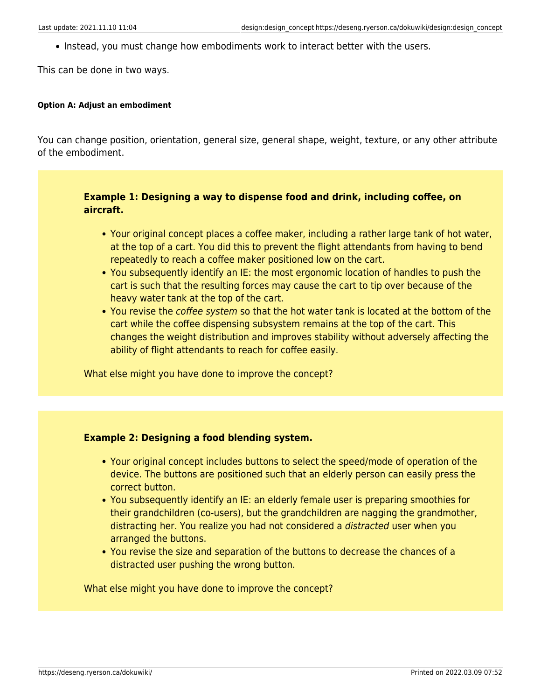• Instead, you must change how embodiments work to interact better with the users.

This can be done in two ways.

#### **Option A: Adjust an embodiment**

You can change position, orientation, general size, general shape, weight, texture, or any other attribute of the embodiment.

#### **Example 1: Designing a way to dispense food and drink, including coffee, on aircraft.**

- Your original concept places a coffee maker, including a rather large tank of hot water, at the top of a cart. You did this to prevent the flight attendants from having to bend repeatedly to reach a coffee maker positioned low on the cart.
- You subsequently identify an IE: the most ergonomic location of handles to push the cart is such that the resulting forces may cause the cart to tip over because of the heavy water tank at the top of the cart.
- You revise the coffee system so that the hot water tank is located at the bottom of the cart while the coffee dispensing subsystem remains at the top of the cart. This changes the weight distribution and improves stability without adversely affecting the ability of flight attendants to reach for coffee easily.

What else might you have done to improve the concept?

#### **Example 2: Designing a food blending system.**

- Your original concept includes buttons to select the speed/mode of operation of the device. The buttons are positioned such that an elderly person can easily press the correct button.
- You subsequently identify an IE: an elderly female user is preparing smoothies for their grandchildren (co-users), but the grandchildren are nagging the grandmother, distracting her. You realize you had not considered a distracted user when you arranged the buttons.
- You revise the size and separation of the buttons to decrease the chances of a distracted user pushing the wrong button.

What else might you have done to improve the concept?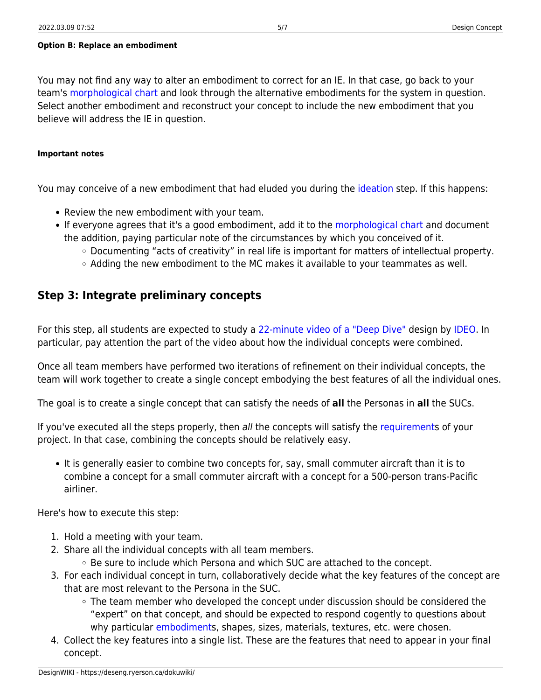#### **Option B: Replace an embodiment**

You may not find any way to alter an embodiment to correct for an IE. In that case, go back to your team's [morphological chart](https://deseng.ryerson.ca/dokuwiki/design:morphological_chart) and look through the alternative embodiments for the system in question. Select another embodiment and reconstruct your concept to include the new embodiment that you believe will address the IE in question.

#### **Important notes**

You may conceive of a new embodiment that had eluded you during the [ideation](https://deseng.ryerson.ca/dokuwiki/design:ideation) step. If this happens:

- Review the new embodiment with your team.
- If everyone agrees that it's a good embodiment, add it to the [morphological chart](https://deseng.ryerson.ca/dokuwiki/design:morphological_chart) and document the addition, paying particular note of the circumstances by which you conceived of it.
	- Documenting "acts of creativity" in real life is important for matters of intellectual property.
	- $\circ$  Adding the new embodiment to the MC makes it available to your teammates as well.

### <span id="page-6-1"></span><span id="page-6-0"></span>**Step 3: Integrate preliminary concepts**

For this step, all students are expected to study a [22-minute video of a "Deep Dive"](https://www.youtube.com/watch?v=izjhx17NuSE) design by [IDEO.](https://www.ideo.com/) In particular, pay attention the part of the video about how the individual concepts were combined.

Once all team members have performed two iterations of refinement on their individual concepts, the team will work together to create a single concept embodying the best features of all the individual ones.

The goal is to create a single concept that can satisfy the needs of **all** the Personas in **all** the SUCs.

If you've executed all the steps properly, then all the concepts will satisfy the [requirement](https://deseng.ryerson.ca/dokuwiki/design:requirement)s of your project. In that case, combining the concepts should be relatively easy.

It is generally easier to combine two concepts for, say, small commuter aircraft than it is to combine a concept for a small commuter aircraft with a concept for a 500-person trans-Pacific airliner.

Here's how to execute this step:

- 1. Hold a meeting with your team.
- 2. Share all the individual concepts with all team members.  $\circ$  Be sure to include which Persona and which SUC are attached to the concept.
- 3. For each individual concept in turn, collaboratively decide what the key features of the concept are that are most relevant to the Persona in the SUC.
	- $\circ$  The team member who developed the concept under discussion should be considered the "expert" on that concept, and should be expected to respond cogently to questions about why particular [embodiments](https://deseng.ryerson.ca/dokuwiki/design:embodiment), shapes, sizes, materials, textures, etc. were chosen.
- 4. Collect the key features into a single list. These are the features that need to appear in your final concept.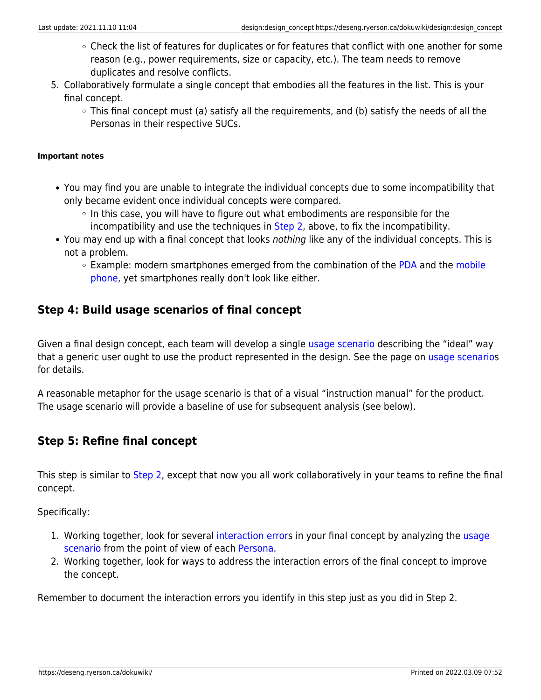- Check the list of features for duplicates or for features that conflict with one another for some reason (e.g., power requirements, size or capacity, etc.). The team needs to remove duplicates and resolve conflicts.
- 5. Collaboratively formulate a single concept that embodies all the features in the list. This is your final concept.
	- This final concept must (a) satisfy all the requirements, and (b) satisfy the needs of all the Personas in their respective SUCs.

#### **Important notes**

- You may find you are unable to integrate the individual concepts due to some incompatibility that only became evident once individual concepts were compared.
	- $\circ$  In this case, you will have to figure out what embodiments are responsible for the incompatibility and use the techniques in [Step 2,](#page-3-2) above, to fix the incompatibility.
- You may end up with a final concept that looks nothing like any of the individual concepts. This is not a problem.
	- $\circ$  Example: modern smartphones emerged from the combination of the [PDA](https://en.wikipedia.org/wiki/Personal_digital_assistant) and the [mobile](https://en.wikipedia.org/wiki/Mobile_phone) [phone](https://en.wikipedia.org/wiki/Mobile_phone), yet smartphones really don't look like either.

### <span id="page-7-2"></span><span id="page-7-0"></span>**Step 4: Build usage scenarios of final concept**

Given a final design concept, each team will develop a single [usage scenario](https://deseng.ryerson.ca/dokuwiki/design:usage_scenario) describing the "ideal" way that a generic user ought to use the product represented in the design. See the page on [usage scenarios](https://deseng.ryerson.ca/dokuwiki/design:usage_scenario) for details.

A reasonable metaphor for the usage scenario is that of a visual "instruction manual" for the product. The usage scenario will provide a baseline of use for subsequent analysis (see below).

### <span id="page-7-3"></span><span id="page-7-1"></span>**Step 5: Refine final concept**

This step is similar to [Step 2,](#page-3-2) except that now you all work collaboratively in your teams to refine the final concept.

Specifically:

- 1. Working together, look for several [interaction error](https://deseng.ryerson.ca/dokuwiki/design:interaction_error)s in your final concept by analyzing the [usage](https://deseng.ryerson.ca/dokuwiki/design:usage_scenario) [scenario](https://deseng.ryerson.ca/dokuwiki/design:usage_scenario) from the point of view of each [Persona.](https://deseng.ryerson.ca/dokuwiki/design:persona)
- 2. Working together, look for ways to address the interaction errors of the final concept to improve the concept.

Remember to document the interaction errors you identify in this step just as you did in Step 2.